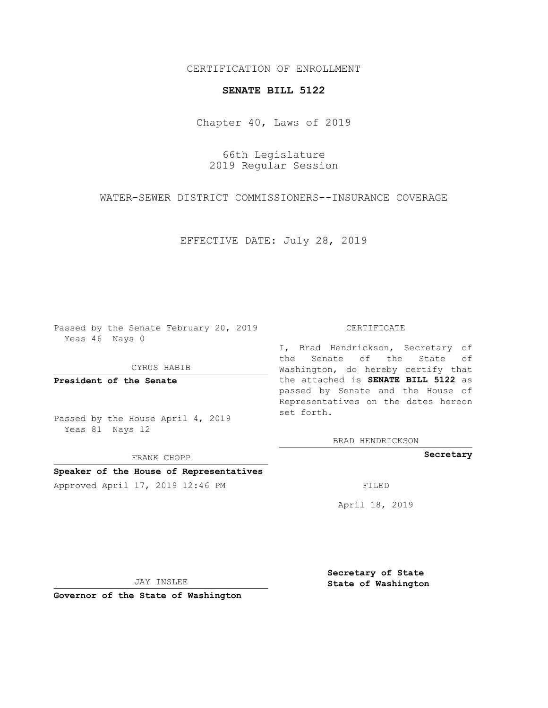CERTIFICATION OF ENROLLMENT

## **SENATE BILL 5122**

Chapter 40, Laws of 2019

66th Legislature 2019 Regular Session

WATER-SEWER DISTRICT COMMISSIONERS--INSURANCE COVERAGE

EFFECTIVE DATE: July 28, 2019

Passed by the Senate February 20, 2019 Yeas 46 Nays 0

CYRUS HABIB

**President of the Senate**

Passed by the House April 4, 2019 Yeas 81 Nays 12

FRANK CHOPP

## **Speaker of the House of Representatives**

Approved April 17, 2019 12:46 PM

## CERTIFICATE

I, Brad Hendrickson, Secretary of the Senate of the State of Washington, do hereby certify that the attached is **SENATE BILL 5122** as passed by Senate and the House of Representatives on the dates hereon set forth.

BRAD HENDRICKSON

**Secretary**

April 18, 2019

JAY INSLEE

**Governor of the State of Washington**

**Secretary of State State of Washington**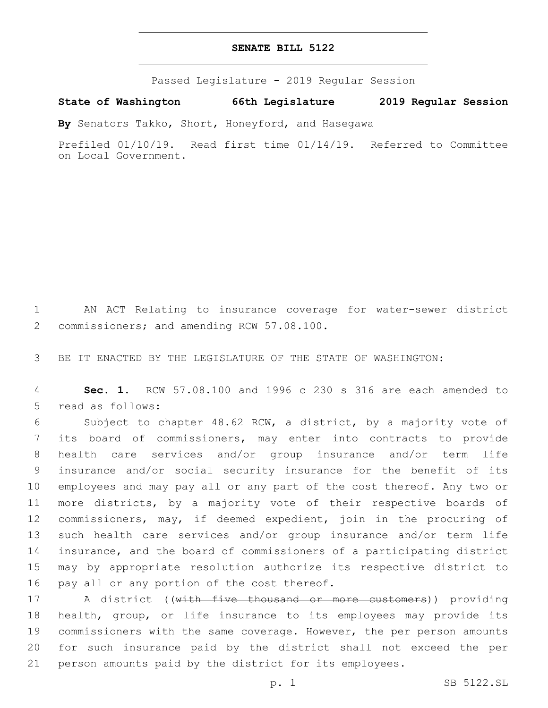## **SENATE BILL 5122**

Passed Legislature - 2019 Regular Session

**State of Washington 66th Legislature 2019 Regular Session**

**By** Senators Takko, Short, Honeyford, and Hasegawa

Prefiled 01/10/19. Read first time 01/14/19. Referred to Committee on Local Government.

1 AN ACT Relating to insurance coverage for water-sewer district 2 commissioners; and amending RCW 57.08.100.

3 BE IT ENACTED BY THE LEGISLATURE OF THE STATE OF WASHINGTON:

4 **Sec. 1.** RCW 57.08.100 and 1996 c 230 s 316 are each amended to 5 read as follows:

 Subject to chapter 48.62 RCW, a district, by a majority vote of its board of commissioners, may enter into contracts to provide health care services and/or group insurance and/or term life insurance and/or social security insurance for the benefit of its employees and may pay all or any part of the cost thereof. Any two or more districts, by a majority vote of their respective boards of commissioners, may, if deemed expedient, join in the procuring of such health care services and/or group insurance and/or term life insurance, and the board of commissioners of a participating district may by appropriate resolution authorize its respective district to 16 pay all or any portion of the cost thereof.

17 A district ((with five thousand or more customers)) providing 18 health, group, or life insurance to its employees may provide its 19 commissioners with the same coverage. However, the per person amounts 20 for such insurance paid by the district shall not exceed the per 21 person amounts paid by the district for its employees.